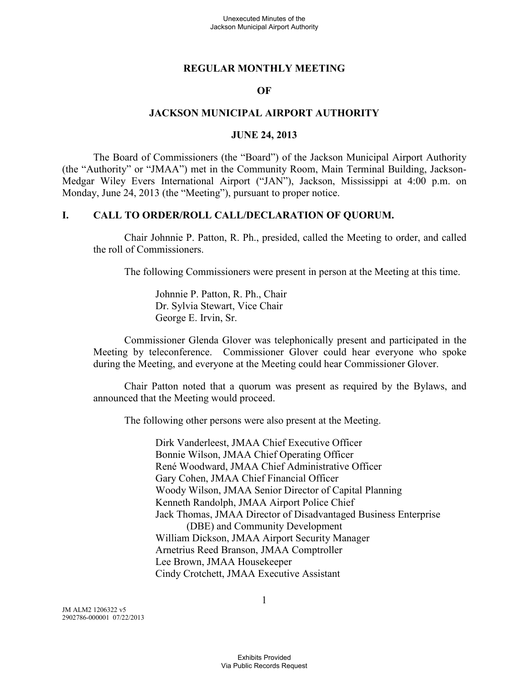#### **REGULAR MONTHLY MEETING**

#### **OF**

#### **JACKSON MUNICIPAL AIRPORT AUTHORITY**

#### **JUNE 24, 2013**

The Board of Commissioners (the "Board") of the Jackson Municipal Airport Authority (the "Authority" or "JMAA") met in the Community Room, Main Terminal Building, Jackson-Medgar Wiley Evers International Airport ("JAN"), Jackson, Mississippi at 4:00 p.m. on Monday, June 24, 2013 (the "Meeting"), pursuant to proper notice.

#### **I. CALL TO ORDER/ROLL CALL/DECLARATION OF QUORUM.**

Chair Johnnie P. Patton, R. Ph., presided, called the Meeting to order, and called the roll of Commissioners.

The following Commissioners were present in person at the Meeting at this time.

Johnnie P. Patton, R. Ph., Chair Dr. Sylvia Stewart, Vice Chair George E. Irvin, Sr.

Commissioner Glenda Glover was telephonically present and participated in the Meeting by teleconference. Commissioner Glover could hear everyone who spoke during the Meeting, and everyone at the Meeting could hear Commissioner Glover.

Chair Patton noted that a quorum was present as required by the Bylaws, and announced that the Meeting would proceed.

The following other persons were also present at the Meeting.

Dirk Vanderleest, JMAA Chief Executive Officer Bonnie Wilson, JMAA Chief Operating Officer René Woodward, JMAA Chief Administrative Officer Gary Cohen, JMAA Chief Financial Officer Woody Wilson, JMAA Senior Director of Capital Planning Kenneth Randolph, JMAA Airport Police Chief Jack Thomas, JMAA Director of Disadvantaged Business Enterprise (DBE) and Community Development William Dickson, JMAA Airport Security Manager Arnetrius Reed Branson, JMAA Comptroller Lee Brown, JMAA Housekeeper Cindy Crotchett, JMAA Executive Assistant

JM ALM2 1206322 v5 2902786-000001 07/22/2013 1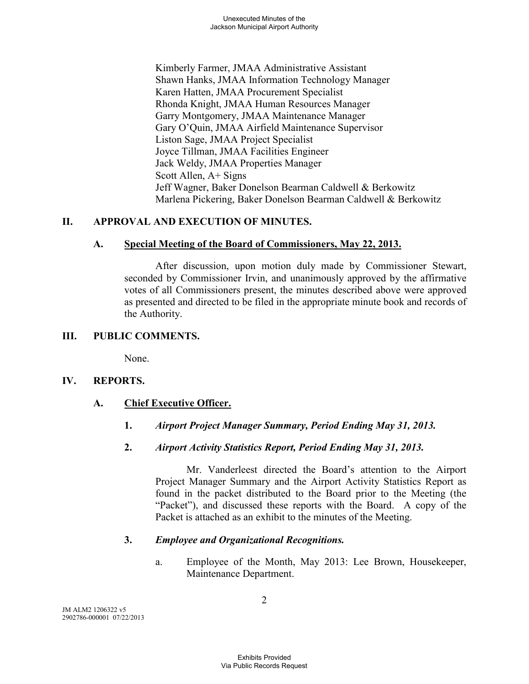Kimberly Farmer, JMAA Administrative Assistant Shawn Hanks, JMAA Information Technology Manager Karen Hatten, JMAA Procurement Specialist Rhonda Knight, JMAA Human Resources Manager Garry Montgomery, JMAA Maintenance Manager Gary O'Quin, JMAA Airfield Maintenance Supervisor Liston Sage, JMAA Project Specialist Joyce Tillman, JMAA Facilities Engineer Jack Weldy, JMAA Properties Manager Scott Allen, A+ Signs Jeff Wagner, Baker Donelson Bearman Caldwell & Berkowitz Marlena Pickering, Baker Donelson Bearman Caldwell & Berkowitz

# **II. APPROVAL AND EXECUTION OF MINUTES.**

# **A. Special Meeting of the Board of Commissioners, May 22, 2013.**

After discussion, upon motion duly made by Commissioner Stewart, seconded by Commissioner Irvin, and unanimously approved by the affirmative votes of all Commissioners present, the minutes described above were approved as presented and directed to be filed in the appropriate minute book and records of the Authority.

# **III. PUBLIC COMMENTS.**

None.

# **IV. REPORTS.**

# **A. Chief Executive Officer.**

- **1.** *Airport Project Manager Summary, Period Ending May 31, 2013.*
- **2.** *Airport Activity Statistics Report, Period Ending May 31, 2013.*

Mr. Vanderleest directed the Board's attention to the Airport Project Manager Summary and the Airport Activity Statistics Report as found in the packet distributed to the Board prior to the Meeting (the "Packet"), and discussed these reports with the Board. A copy of the Packet is attached as an exhibit to the minutes of the Meeting.

# **3.** *Employee and Organizational Recognitions.*

a. Employee of the Month, May 2013: Lee Brown, Housekeeper, Maintenance Department.

JM ALM2 1206322 v5 2902786-000001 07/22/2013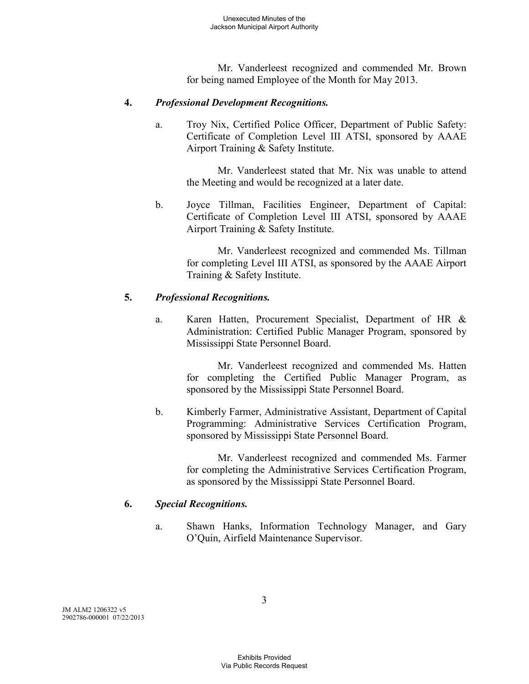Mr. Vanderleest recognized and commended Mr. Brown for being named Employee of the Month for May 2013.

### **4.** *Professional Development Recognitions.*

a. Troy Nix, Certified Police Officer, Department of Public Safety: Certificate of Completion Level III ATSI, sponsored by AAAE Airport Training & Safety Institute.

Mr. Vanderleest stated that Mr. Nix was unable to attend the Meeting and would be recognized at a later date.

b. Joyce Tillman, Facilities Engineer, Department of Capital: Certificate of Completion Level III ATSI, sponsored by AAAE Airport Training & Safety Institute.

Mr. Vanderleest recognized and commended Ms. Tillman for completing Level III ATSI, as sponsored by the AAAE Airport Training & Safety Institute.

### **5.** *Professional Recognitions.*

a. Karen Hatten, Procurement Specialist, Department of HR & Administration: Certified Public Manager Program, sponsored by Mississippi State Personnel Board.

> Mr. Vanderleest recognized and commended Ms. Hatten for completing the Certified Public Manager Program, as sponsored by the Mississippi State Personnel Board.

b. Kimberly Farmer, Administrative Assistant, Department of Capital Programming: Administrative Services Certification Program, sponsored by Mississippi State Personnel Board.

> Mr. Vanderleest recognized and commended Ms. Farmer for completing the Administrative Services Certification Program, as sponsored by the Mississippi State Personnel Board.

### **6.** *Special Recognitions.*

a. Shawn Hanks, Information Technology Manager, and Gary O'Quin, Airfield Maintenance Supervisor.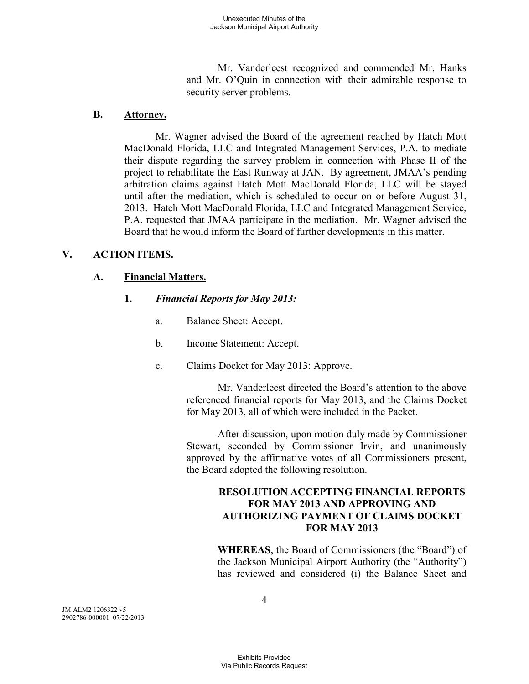Mr. Vanderleest recognized and commended Mr. Hanks and Mr. O'Quin in connection with their admirable response to security server problems.

### **B. Attorney.**

Mr. Wagner advised the Board of the agreement reached by Hatch Mott MacDonald Florida, LLC and Integrated Management Services, P.A. to mediate their dispute regarding the survey problem in connection with Phase II of the project to rehabilitate the East Runway at JAN. By agreement, JMAA's pending arbitration claims against Hatch Mott MacDonald Florida, LLC will be stayed until after the mediation, which is scheduled to occur on or before August 31, 2013. Hatch Mott MacDonald Florida, LLC and Integrated Management Service, P.A. requested that JMAA participate in the mediation. Mr. Wagner advised the Board that he would inform the Board of further developments in this matter.

# **V. ACTION ITEMS.**

# **A. Financial Matters.**

# **1.** *Financial Reports for May 2013:*

- a. Balance Sheet: Accept.
- b. Income Statement: Accept.
- c. Claims Docket for May 2013: Approve.

Mr. Vanderleest directed the Board's attention to the above referenced financial reports for May 2013, and the Claims Docket for May 2013, all of which were included in the Packet.

After discussion, upon motion duly made by Commissioner Stewart, seconded by Commissioner Irvin, and unanimously approved by the affirmative votes of all Commissioners present, the Board adopted the following resolution.

# **RESOLUTION ACCEPTING FINANCIAL REPORTS FOR MAY 2013 AND APPROVING AND AUTHORIZING PAYMENT OF CLAIMS DOCKET FOR MAY 2013**

**WHEREAS**, the Board of Commissioners (the "Board") of the Jackson Municipal Airport Authority (the "Authority") has reviewed and considered (i) the Balance Sheet and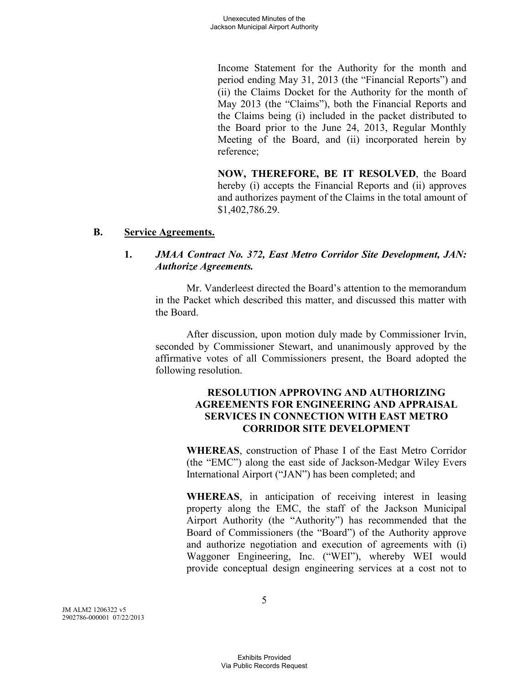Income Statement for the Authority for the month and period ending May 31, 2013 (the "Financial Reports") and (ii) the Claims Docket for the Authority for the month of May 2013 (the "Claims"), both the Financial Reports and the Claims being (i) included in the packet distributed to the Board prior to the June 24, 2013, Regular Monthly Meeting of the Board, and (ii) incorporated herein by reference;

**NOW, THEREFORE, BE IT RESOLVED**, the Board hereby (i) accepts the Financial Reports and (ii) approves and authorizes payment of the Claims in the total amount of \$1,402,786.29.

### **B. Service Agreements.**

### **1.** *JMAA Contract No. 372, East Metro Corridor Site Development, JAN: Authorize Agreements.*

Mr. Vanderleest directed the Board's attention to the memorandum in the Packet which described this matter, and discussed this matter with the Board.

After discussion, upon motion duly made by Commissioner Irvin, seconded by Commissioner Stewart, and unanimously approved by the affirmative votes of all Commissioners present, the Board adopted the following resolution.

### **RESOLUTION APPROVING AND AUTHORIZING AGREEMENTS FOR ENGINEERING AND APPRAISAL SERVICES IN CONNECTION WITH EAST METRO CORRIDOR SITE DEVELOPMENT**

**WHEREAS**, construction of Phase I of the East Metro Corridor (the "EMC") along the east side of Jackson-Medgar Wiley Evers International Airport ("JAN") has been completed; and

**WHEREAS**, in anticipation of receiving interest in leasing property along the EMC, the staff of the Jackson Municipal Airport Authority (the "Authority") has recommended that the Board of Commissioners (the "Board") of the Authority approve and authorize negotiation and execution of agreements with (i) Waggoner Engineering, Inc. ("WEI"), whereby WEI would provide conceptual design engineering services at a cost not to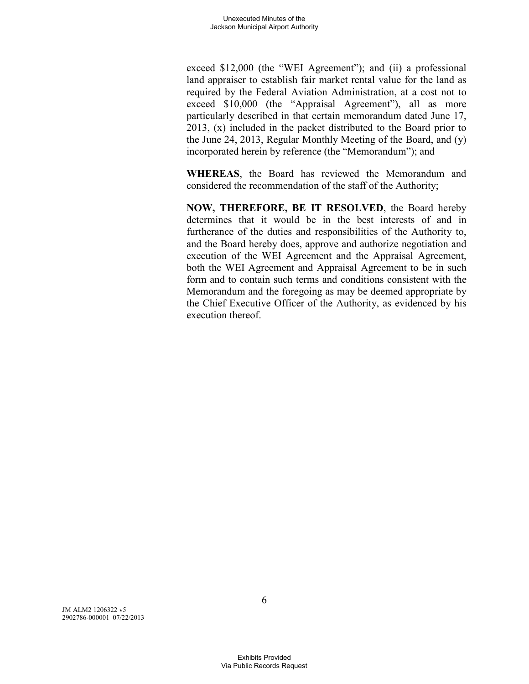exceed \$12,000 (the "WEI Agreement"); and (ii) a professional land appraiser to establish fair market rental value for the land as required by the Federal Aviation Administration, at a cost not to exceed \$10,000 (the "Appraisal Agreement"), all as more particularly described in that certain memorandum dated June 17, 2013, (x) included in the packet distributed to the Board prior to the June 24, 2013, Regular Monthly Meeting of the Board, and (y) incorporated herein by reference (the "Memorandum"); and

**WHEREAS**, the Board has reviewed the Memorandum and considered the recommendation of the staff of the Authority;

**NOW, THEREFORE, BE IT RESOLVED**, the Board hereby determines that it would be in the best interests of and in furtherance of the duties and responsibilities of the Authority to, and the Board hereby does, approve and authorize negotiation and execution of the WEI Agreement and the Appraisal Agreement, both the WEI Agreement and Appraisal Agreement to be in such form and to contain such terms and conditions consistent with the Memorandum and the foregoing as may be deemed appropriate by the Chief Executive Officer of the Authority, as evidenced by his execution thereof.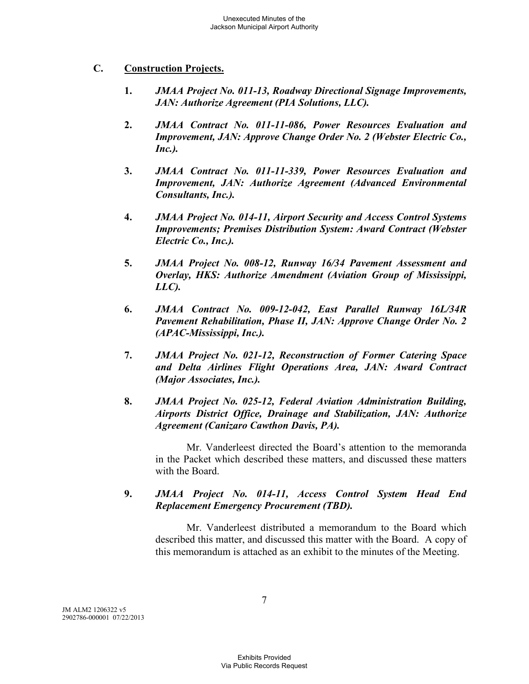### **C. Construction Projects.**

- **1.** *JMAA Project No. 011-13, Roadway Directional Signage Improvements, JAN: Authorize Agreement (PIA Solutions, LLC).*
- **2.** *JMAA Contract No. 011-11-086, Power Resources Evaluation and Improvement, JAN: Approve Change Order No. 2 (Webster Electric Co., Inc.).*
- **3.** *JMAA Contract No. 011-11-339, Power Resources Evaluation and Improvement, JAN: Authorize Agreement (Advanced Environmental Consultants, Inc.).*
- **4.** *JMAA Project No. 014-11, Airport Security and Access Control Systems Improvements; Premises Distribution System: Award Contract (Webster Electric Co., Inc.).*
- **5.** *JMAA Project No. 008-12, Runway 16/34 Pavement Assessment and Overlay, HKS: Authorize Amendment (Aviation Group of Mississippi, LLC).*
- **6.** *JMAA Contract No. 009-12-042, East Parallel Runway 16L/34R Pavement Rehabilitation, Phase II, JAN: Approve Change Order No. 2 (APAC-Mississippi, Inc.).*
- **7.** *JMAA Project No. 021-12, Reconstruction of Former Catering Space and Delta Airlines Flight Operations Area, JAN: Award Contract (Major Associates, Inc.).*
- **8.** *JMAA Project No. 025-12, Federal Aviation Administration Building, Airports District Office, Drainage and Stabilization, JAN: Authorize Agreement (Canizaro Cawthon Davis, PA).*

Mr. Vanderleest directed the Board's attention to the memoranda in the Packet which described these matters, and discussed these matters with the Board.

### **9.** *JMAA Project No. 014-11, Access Control System Head End Replacement Emergency Procurement (TBD).*

Mr. Vanderleest distributed a memorandum to the Board which described this matter, and discussed this matter with the Board. A copy of this memorandum is attached as an exhibit to the minutes of the Meeting.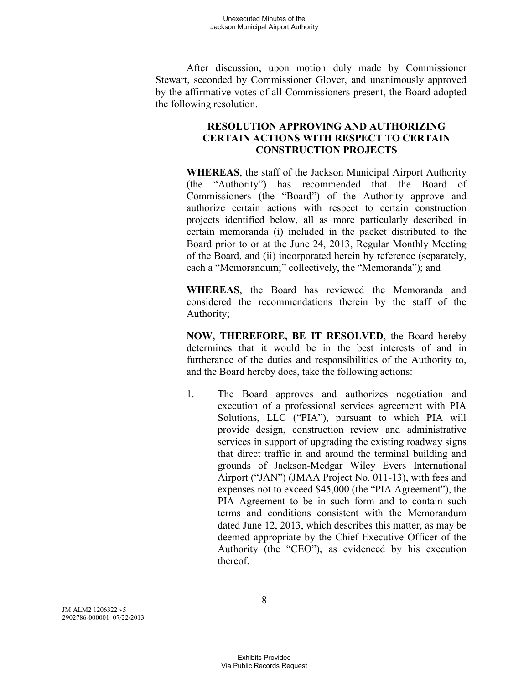After discussion, upon motion duly made by Commissioner Stewart, seconded by Commissioner Glover, and unanimously approved by the affirmative votes of all Commissioners present, the Board adopted the following resolution.

### **RESOLUTION APPROVING AND AUTHORIZING CERTAIN ACTIONS WITH RESPECT TO CERTAIN CONSTRUCTION PROJECTS**

**WHEREAS**, the staff of the Jackson Municipal Airport Authority (the "Authority") has recommended that the Board of Commissioners (the "Board") of the Authority approve and authorize certain actions with respect to certain construction projects identified below, all as more particularly described in certain memoranda (i) included in the packet distributed to the Board prior to or at the June 24, 2013, Regular Monthly Meeting of the Board, and (ii) incorporated herein by reference (separately, each a "Memorandum;" collectively, the "Memoranda"); and

**WHEREAS**, the Board has reviewed the Memoranda and considered the recommendations therein by the staff of the Authority;

**NOW, THEREFORE, BE IT RESOLVED**, the Board hereby determines that it would be in the best interests of and in furtherance of the duties and responsibilities of the Authority to, and the Board hereby does, take the following actions:

1. The Board approves and authorizes negotiation and execution of a professional services agreement with PIA Solutions, LLC ("PIA"), pursuant to which PIA will provide design, construction review and administrative services in support of upgrading the existing roadway signs that direct traffic in and around the terminal building and grounds of Jackson-Medgar Wiley Evers International Airport ("JAN") (JMAA Project No. 011-13), with fees and expenses not to exceed \$45,000 (the "PIA Agreement"), the PIA Agreement to be in such form and to contain such terms and conditions consistent with the Memorandum dated June 12, 2013, which describes this matter, as may be deemed appropriate by the Chief Executive Officer of the Authority (the "CEO"), as evidenced by his execution thereof.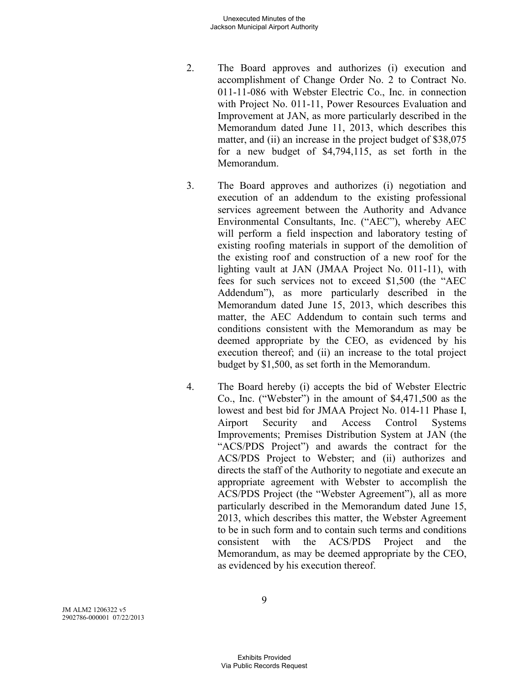- 2. The Board approves and authorizes (i) execution and accomplishment of Change Order No. 2 to Contract No. 011-11-086 with Webster Electric Co., Inc. in connection with Project No. 011-11, Power Resources Evaluation and Improvement at JAN, as more particularly described in the Memorandum dated June 11, 2013, which describes this matter, and (ii) an increase in the project budget of \$38,075 for a new budget of \$4,794,115, as set forth in the Memorandum.
- 3. The Board approves and authorizes (i) negotiation and execution of an addendum to the existing professional services agreement between the Authority and Advance Environmental Consultants, Inc. ("AEC"), whereby AEC will perform a field inspection and laboratory testing of existing roofing materials in support of the demolition of the existing roof and construction of a new roof for the lighting vault at JAN (JMAA Project No. 011-11), with fees for such services not to exceed \$1,500 (the "AEC Addendum"), as more particularly described in the Memorandum dated June 15, 2013, which describes this matter, the AEC Addendum to contain such terms and conditions consistent with the Memorandum as may be deemed appropriate by the CEO, as evidenced by his execution thereof; and (ii) an increase to the total project budget by \$1,500, as set forth in the Memorandum.
- 4. The Board hereby (i) accepts the bid of Webster Electric Co., Inc. ("Webster") in the amount of \$4,471,500 as the lowest and best bid for JMAA Project No. 014-11 Phase I, Airport Security and Access Control Systems Improvements; Premises Distribution System at JAN (the "ACS/PDS Project") and awards the contract for the ACS/PDS Project to Webster; and (ii) authorizes and directs the staff of the Authority to negotiate and execute an appropriate agreement with Webster to accomplish the ACS/PDS Project (the "Webster Agreement"), all as more particularly described in the Memorandum dated June 15, 2013, which describes this matter, the Webster Agreement to be in such form and to contain such terms and conditions consistent with the ACS/PDS Project and the Memorandum, as may be deemed appropriate by the CEO, as evidenced by his execution thereof.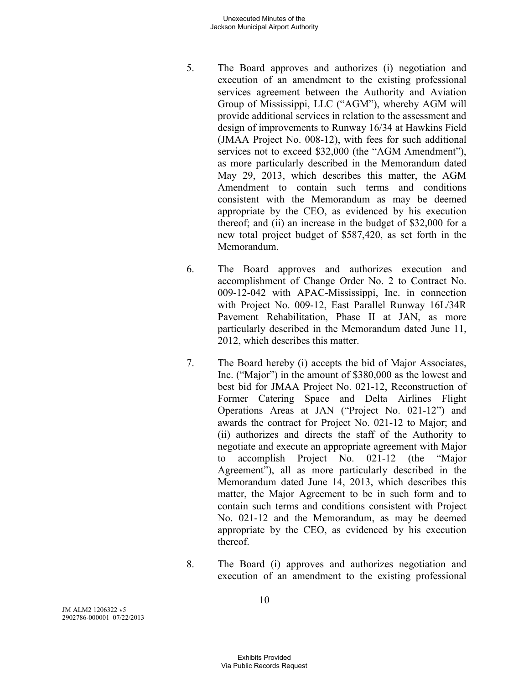- 5. The Board approves and authorizes (i) negotiation and execution of an amendment to the existing professional services agreement between the Authority and Aviation Group of Mississippi, LLC ("AGM"), whereby AGM will provide additional services in relation to the assessment and design of improvements to Runway 16/34 at Hawkins Field (JMAA Project No. 008-12), with fees for such additional services not to exceed \$32,000 (the "AGM Amendment"), as more particularly described in the Memorandum dated May 29, 2013, which describes this matter, the AGM Amendment to contain such terms and conditions consistent with the Memorandum as may be deemed appropriate by the CEO, as evidenced by his execution thereof; and (ii) an increase in the budget of \$32,000 for a new total project budget of \$587,420, as set forth in the Memorandum.
- 6. The Board approves and authorizes execution and accomplishment of Change Order No. 2 to Contract No. 009-12-042 with APAC-Mississippi, Inc. in connection with Project No. 009-12, East Parallel Runway 16L/34R Pavement Rehabilitation, Phase II at JAN, as more particularly described in the Memorandum dated June 11, 2012, which describes this matter.
- 7. The Board hereby (i) accepts the bid of Major Associates, Inc. ("Major") in the amount of \$380,000 as the lowest and best bid for JMAA Project No. 021-12, Reconstruction of Former Catering Space and Delta Airlines Flight Operations Areas at JAN ("Project No. 021-12") and awards the contract for Project No. 021-12 to Major; and (ii) authorizes and directs the staff of the Authority to negotiate and execute an appropriate agreement with Major to accomplish Project No. 021-12 (the "Major Agreement"), all as more particularly described in the Memorandum dated June 14, 2013, which describes this matter, the Major Agreement to be in such form and to contain such terms and conditions consistent with Project No. 021-12 and the Memorandum, as may be deemed appropriate by the CEO, as evidenced by his execution thereof.
- 8. The Board (i) approves and authorizes negotiation and execution of an amendment to the existing professional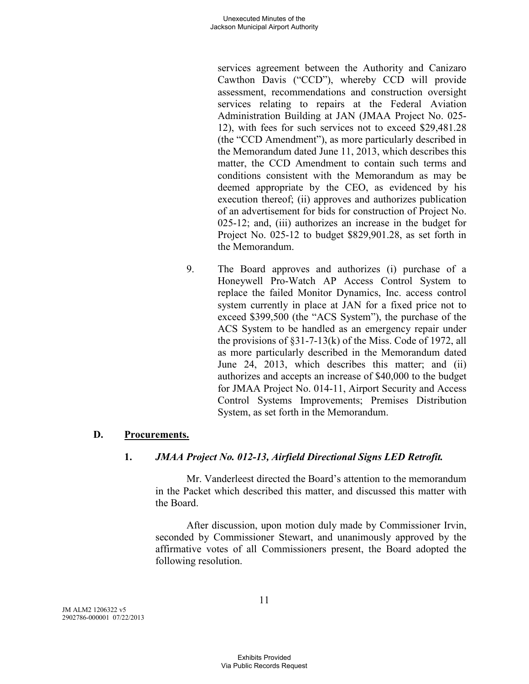services agreement between the Authority and Canizaro Cawthon Davis ("CCD"), whereby CCD will provide assessment, recommendations and construction oversight services relating to repairs at the Federal Aviation Administration Building at JAN (JMAA Project No. 025- 12), with fees for such services not to exceed \$29,481.28 (the "CCD Amendment"), as more particularly described in the Memorandum dated June 11, 2013, which describes this matter, the CCD Amendment to contain such terms and conditions consistent with the Memorandum as may be deemed appropriate by the CEO, as evidenced by his execution thereof; (ii) approves and authorizes publication of an advertisement for bids for construction of Project No. 025-12; and, (iii) authorizes an increase in the budget for Project No. 025-12 to budget \$829,901.28, as set forth in the Memorandum.

9. The Board approves and authorizes (i) purchase of a Honeywell Pro-Watch AP Access Control System to replace the failed Monitor Dynamics, Inc. access control system currently in place at JAN for a fixed price not to exceed \$399,500 (the "ACS System"), the purchase of the ACS System to be handled as an emergency repair under the provisions of  $\S 31-7-13(k)$  of the Miss. Code of 1972, all as more particularly described in the Memorandum dated June 24, 2013, which describes this matter; and (ii) authorizes and accepts an increase of \$40,000 to the budget for JMAA Project No. 014-11, Airport Security and Access Control Systems Improvements; Premises Distribution System, as set forth in the Memorandum.

# **D. Procurements.**

# **1.** *JMAA Project No. 012-13, Airfield Directional Signs LED Retrofit.*

Mr. Vanderleest directed the Board's attention to the memorandum in the Packet which described this matter, and discussed this matter with the Board.

After discussion, upon motion duly made by Commissioner Irvin, seconded by Commissioner Stewart, and unanimously approved by the affirmative votes of all Commissioners present, the Board adopted the following resolution.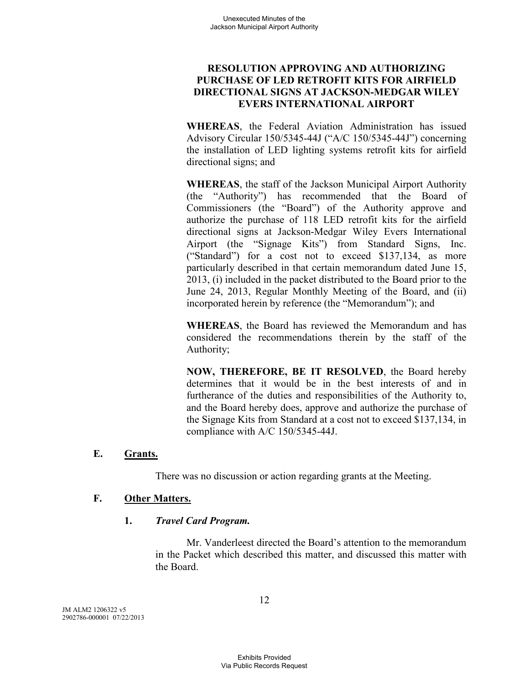# **RESOLUTION APPROVING AND AUTHORIZING PURCHASE OF LED RETROFIT KITS FOR AIRFIELD DIRECTIONAL SIGNS AT JACKSON-MEDGAR WILEY EVERS INTERNATIONAL AIRPORT**

**WHEREAS**, the Federal Aviation Administration has issued Advisory Circular 150/5345-44J ("A/C 150/5345-44J") concerning the installation of LED lighting systems retrofit kits for airfield directional signs; and

**WHEREAS**, the staff of the Jackson Municipal Airport Authority (the "Authority") has recommended that the Board of Commissioners (the "Board") of the Authority approve and authorize the purchase of 118 LED retrofit kits for the airfield directional signs at Jackson-Medgar Wiley Evers International Airport (the "Signage Kits") from Standard Signs, Inc. ("Standard") for a cost not to exceed \$137,134, as more particularly described in that certain memorandum dated June 15, 2013, (i) included in the packet distributed to the Board prior to the June 24, 2013, Regular Monthly Meeting of the Board, and (ii) incorporated herein by reference (the "Memorandum"); and

**WHEREAS**, the Board has reviewed the Memorandum and has considered the recommendations therein by the staff of the Authority;

**NOW, THEREFORE, BE IT RESOLVED**, the Board hereby determines that it would be in the best interests of and in furtherance of the duties and responsibilities of the Authority to, and the Board hereby does, approve and authorize the purchase of the Signage Kits from Standard at a cost not to exceed \$137,134, in compliance with A/C 150/5345-44J.

### **E. Grants.**

There was no discussion or action regarding grants at the Meeting.

# **F. Other Matters.**

### **1.** *Travel Card Program.*

Mr. Vanderleest directed the Board's attention to the memorandum in the Packet which described this matter, and discussed this matter with the Board.

JM ALM2 1206322 v5 2902786-000001 07/22/2013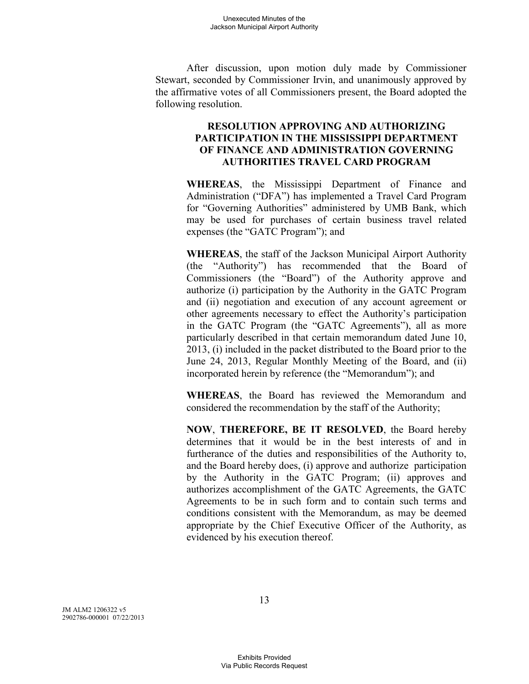After discussion, upon motion duly made by Commissioner Stewart, seconded by Commissioner Irvin, and unanimously approved by the affirmative votes of all Commissioners present, the Board adopted the following resolution.

### **RESOLUTION APPROVING AND AUTHORIZING PARTICIPATION IN THE MISSISSIPPI DEPARTMENT OF FINANCE AND ADMINISTRATION GOVERNING AUTHORITIES TRAVEL CARD PROGRAM**

**WHEREAS**, the Mississippi Department of Finance and Administration ("DFA") has implemented a Travel Card Program for "Governing Authorities" administered by UMB Bank, which may be used for purchases of certain business travel related expenses (the "GATC Program"); and

**WHEREAS**, the staff of the Jackson Municipal Airport Authority (the "Authority") has recommended that the Board of Commissioners (the "Board") of the Authority approve and authorize (i) participation by the Authority in the GATC Program and (ii) negotiation and execution of any account agreement or other agreements necessary to effect the Authority's participation in the GATC Program (the "GATC Agreements"), all as more particularly described in that certain memorandum dated June 10, 2013, (i) included in the packet distributed to the Board prior to the June 24, 2013, Regular Monthly Meeting of the Board, and (ii) incorporated herein by reference (the "Memorandum"); and

**WHEREAS**, the Board has reviewed the Memorandum and considered the recommendation by the staff of the Authority;

**NOW**, **THEREFORE, BE IT RESOLVED**, the Board hereby determines that it would be in the best interests of and in furtherance of the duties and responsibilities of the Authority to, and the Board hereby does, (i) approve and authorize participation by the Authority in the GATC Program; (ii) approves and authorizes accomplishment of the GATC Agreements, the GATC Agreements to be in such form and to contain such terms and conditions consistent with the Memorandum, as may be deemed appropriate by the Chief Executive Officer of the Authority, as evidenced by his execution thereof.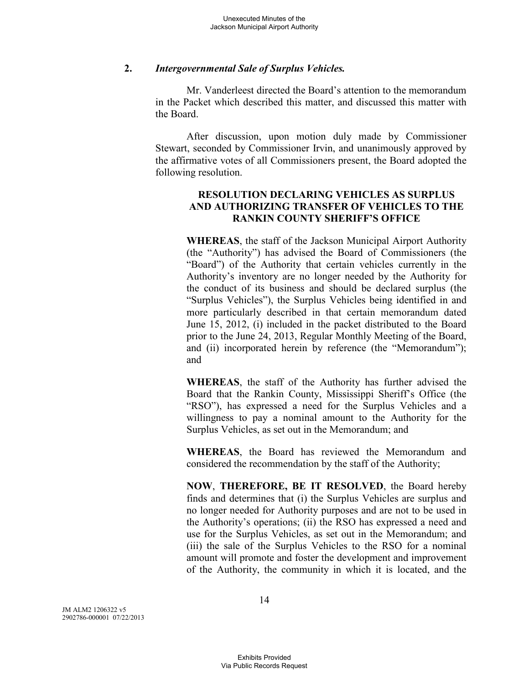### **2.** *Intergovernmental Sale of Surplus Vehicles.*

Mr. Vanderleest directed the Board's attention to the memorandum in the Packet which described this matter, and discussed this matter with the Board.

After discussion, upon motion duly made by Commissioner Stewart, seconded by Commissioner Irvin, and unanimously approved by the affirmative votes of all Commissioners present, the Board adopted the following resolution.

# **RESOLUTION DECLARING VEHICLES AS SURPLUS AND AUTHORIZING TRANSFER OF VEHICLES TO THE RANKIN COUNTY SHERIFF'S OFFICE**

**WHEREAS**, the staff of the Jackson Municipal Airport Authority (the "Authority") has advised the Board of Commissioners (the "Board") of the Authority that certain vehicles currently in the Authority's inventory are no longer needed by the Authority for the conduct of its business and should be declared surplus (the "Surplus Vehicles"), the Surplus Vehicles being identified in and more particularly described in that certain memorandum dated June 15, 2012, (i) included in the packet distributed to the Board prior to the June 24, 2013, Regular Monthly Meeting of the Board, and (ii) incorporated herein by reference (the "Memorandum"); and

**WHEREAS**, the staff of the Authority has further advised the Board that the Rankin County, Mississippi Sheriff's Office (the "RSO"), has expressed a need for the Surplus Vehicles and a willingness to pay a nominal amount to the Authority for the Surplus Vehicles, as set out in the Memorandum; and

**WHEREAS**, the Board has reviewed the Memorandum and considered the recommendation by the staff of the Authority;

**NOW**, **THEREFORE, BE IT RESOLVED**, the Board hereby finds and determines that (i) the Surplus Vehicles are surplus and no longer needed for Authority purposes and are not to be used in the Authority's operations; (ii) the RSO has expressed a need and use for the Surplus Vehicles, as set out in the Memorandum; and (iii) the sale of the Surplus Vehicles to the RSO for a nominal amount will promote and foster the development and improvement of the Authority, the community in which it is located, and the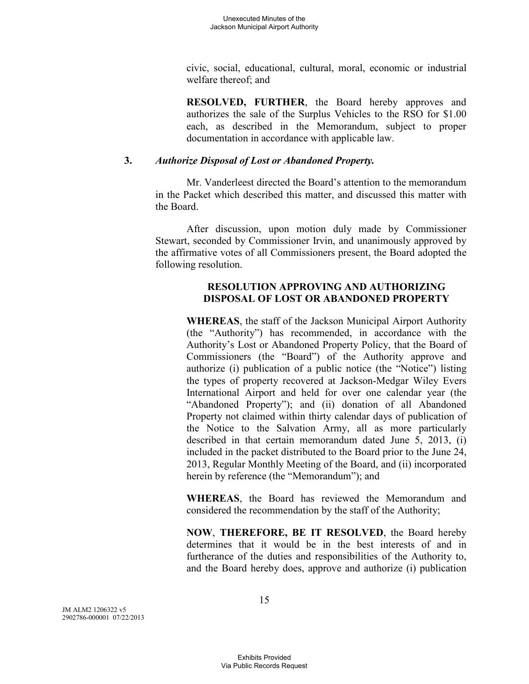civic, social, educational, cultural, moral, economic or industrial welfare thereof; and

**RESOLVED, FURTHER**, the Board hereby approves and authorizes the sale of the Surplus Vehicles to the RSO for \$1.00 each, as described in the Memorandum, subject to proper documentation in accordance with applicable law.

### **3.** *Authorize Disposal of Lost or Abandoned Property.*

Mr. Vanderleest directed the Board's attention to the memorandum in the Packet which described this matter, and discussed this matter with the Board.

After discussion, upon motion duly made by Commissioner Stewart, seconded by Commissioner Irvin, and unanimously approved by the affirmative votes of all Commissioners present, the Board adopted the following resolution.

# **RESOLUTION APPROVING AND AUTHORIZING DISPOSAL OF LOST OR ABANDONED PROPERTY**

**WHEREAS**, the staff of the Jackson Municipal Airport Authority (the "Authority") has recommended, in accordance with the Authority's Lost or Abandoned Property Policy, that the Board of Commissioners (the "Board") of the Authority approve and authorize (i) publication of a public notice (the "Notice") listing the types of property recovered at Jackson-Medgar Wiley Evers International Airport and held for over one calendar year (the "Abandoned Property"); and (ii) donation of all Abandoned Property not claimed within thirty calendar days of publication of the Notice to the Salvation Army, all as more particularly described in that certain memorandum dated June 5, 2013, (i) included in the packet distributed to the Board prior to the June 24, 2013, Regular Monthly Meeting of the Board, and (ii) incorporated herein by reference (the "Memorandum"); and

**WHEREAS**, the Board has reviewed the Memorandum and considered the recommendation by the staff of the Authority;

**NOW**, **THEREFORE, BE IT RESOLVED**, the Board hereby determines that it would be in the best interests of and in furtherance of the duties and responsibilities of the Authority to, and the Board hereby does, approve and authorize (i) publication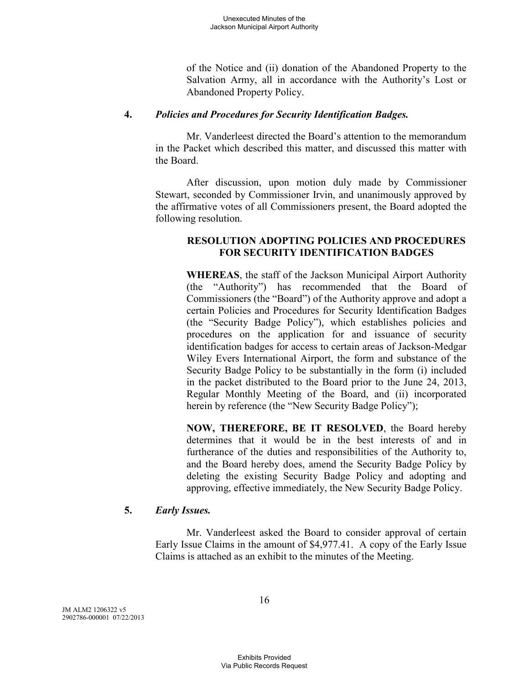of the Notice and (ii) donation of the Abandoned Property to the Salvation Army, all in accordance with the Authority's Lost or Abandoned Property Policy.

### **4.** *Policies and Procedures for Security Identification Badges.*

Mr. Vanderleest directed the Board's attention to the memorandum in the Packet which described this matter, and discussed this matter with the Board.

After discussion, upon motion duly made by Commissioner Stewart, seconded by Commissioner Irvin, and unanimously approved by the affirmative votes of all Commissioners present, the Board adopted the following resolution.

# **RESOLUTION ADOPTING POLICIES AND PROCEDURES FOR SECURITY IDENTIFICATION BADGES**

**WHEREAS**, the staff of the Jackson Municipal Airport Authority (the "Authority") has recommended that the Board of Commissioners (the "Board") of the Authority approve and adopt a certain Policies and Procedures for Security Identification Badges (the "Security Badge Policy"), which establishes policies and procedures on the application for and issuance of security identification badges for access to certain areas of Jackson-Medgar Wiley Evers International Airport, the form and substance of the Security Badge Policy to be substantially in the form (i) included in the packet distributed to the Board prior to the June 24, 2013, Regular Monthly Meeting of the Board, and (ii) incorporated herein by reference (the "New Security Badge Policy");

**NOW, THEREFORE, BE IT RESOLVED**, the Board hereby determines that it would be in the best interests of and in furtherance of the duties and responsibilities of the Authority to, and the Board hereby does, amend the Security Badge Policy by deleting the existing Security Badge Policy and adopting and approving, effective immediately, the New Security Badge Policy.

# **5.** *Early Issues.*

Mr. Vanderleest asked the Board to consider approval of certain Early Issue Claims in the amount of \$4,977.41. A copy of the Early Issue Claims is attached as an exhibit to the minutes of the Meeting.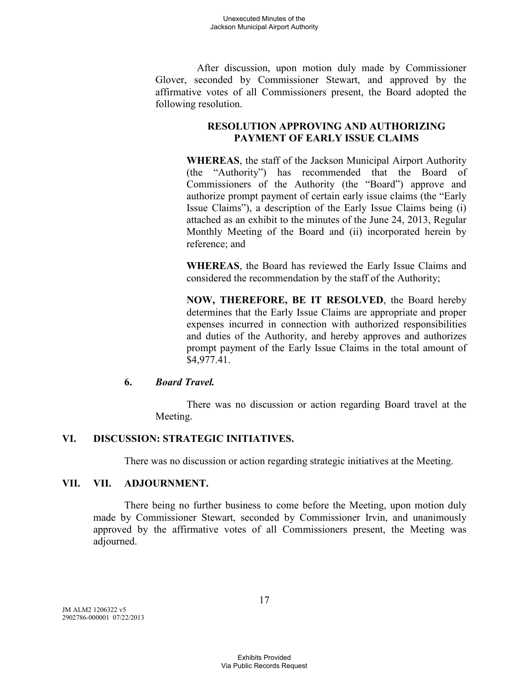After discussion, upon motion duly made by Commissioner Glover, seconded by Commissioner Stewart, and approved by the affirmative votes of all Commissioners present, the Board adopted the following resolution.

# **RESOLUTION APPROVING AND AUTHORIZING PAYMENT OF EARLY ISSUE CLAIMS**

**WHEREAS**, the staff of the Jackson Municipal Airport Authority (the "Authority") has recommended that the Board of Commissioners of the Authority (the "Board") approve and authorize prompt payment of certain early issue claims (the "Early Issue Claims"), a description of the Early Issue Claims being (i) attached as an exhibit to the minutes of the June 24, 2013, Regular Monthly Meeting of the Board and (ii) incorporated herein by reference; and

**WHEREAS**, the Board has reviewed the Early Issue Claims and considered the recommendation by the staff of the Authority;

**NOW, THEREFORE, BE IT RESOLVED**, the Board hereby determines that the Early Issue Claims are appropriate and proper expenses incurred in connection with authorized responsibilities and duties of the Authority, and hereby approves and authorizes prompt payment of the Early Issue Claims in the total amount of \$4,977.41.

# **6.** *Board Travel.*

There was no discussion or action regarding Board travel at the Meeting.

# **VI. DISCUSSION: STRATEGIC INITIATIVES.**

There was no discussion or action regarding strategic initiatives at the Meeting.

### **VII. VII. ADJOURNMENT.**

There being no further business to come before the Meeting, upon motion duly made by Commissioner Stewart, seconded by Commissioner Irvin, and unanimously approved by the affirmative votes of all Commissioners present, the Meeting was adjourned.